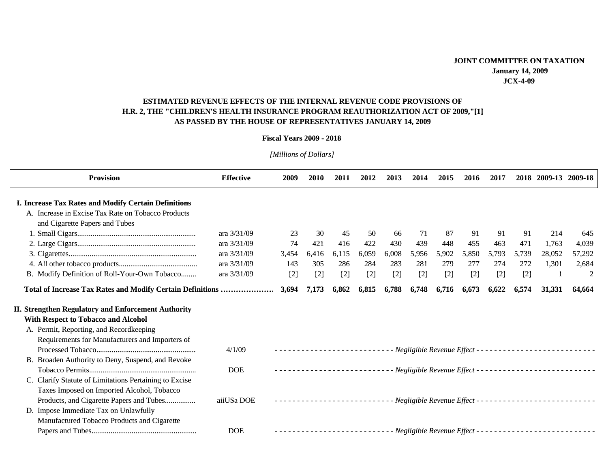## ESTIMATED REVENUE EFFECTS OF THE INTERNAL REVENUE CODE PROVISIONS OF H.R. 2, THE "CHILDREN'S HEALTH INSURANCE PROGRAM REAUTHORIZATION ACT OF 2009,"[1] **AS PASSED BY THE HOUSE OF REPRESENTATIVES JANUARY 14 2009 CHILDREN'S HEALTH INSURANCE PROGRAM REAUTHORIZATION ACT OF 2009,''[1]<br>AS PASSED BY THE HOUSE OF REPRESENTATIVES JANUARY 14, 2009<br>Fiscal Years 2009 - 2018**

## **Fiscal Years 2009 - 2018**

*[Millions of Dollars] [Millions of [ f*

| <b>Provision</b>                                           | <b>Effective</b> | 2009  | 2010  | 2011  | 2012  | 2013  | 2014  | 2015                          | 2016  | 2017  |       | 2018 2009-13 2009-18 |                |
|------------------------------------------------------------|------------------|-------|-------|-------|-------|-------|-------|-------------------------------|-------|-------|-------|----------------------|----------------|
| I. Increase Tax Rates and Modify Certain Definitions       |                  |       |       |       |       |       |       |                               |       |       |       |                      |                |
| A. Increase in Excise Tax Rate on Tobacco Products         |                  |       |       |       |       |       |       |                               |       |       |       |                      |                |
| and Cigarette Papers and Tubes                             |                  |       |       |       |       |       |       |                               |       |       |       |                      |                |
|                                                            | ara 3/31/09      | 23    | 30    | 45    | 50    | -66   | 71    | 87                            | 91    | 91    | 91    | 214                  | 645            |
|                                                            | ara 3/31/09      | 74    | 421   | 416   | 422   | 430   | 439   | 448                           | 455   | 463   | 471   | 1,763                | 4,039          |
|                                                            | ara 3/31/09      | 3,454 | 6,416 | 6,115 | 6,059 | 6,008 | 5,956 | 5,902                         | 5,850 | 5,793 | 5,739 | 28,052               | 57,292         |
|                                                            | ara 3/31/09      | 143   | 305   | 286   | 284   | 283   | 281   | 279                           | 277   | 274   | 272   | 1,301                | 2,684          |
| B. Modify Definition of Roll-Your-Own Tobacco              | ara 3/31/09      | $[2]$ | $[2]$ | $[2]$ | $[2]$ | $[2]$ | $[2]$ | $[2]$                         | $[2]$ | $[2]$ | $[2]$ |                      | $\overline{2}$ |
| Total of Increase Tax Rates and Modify Certain Definitions |                  | 3,694 | 7,173 | 6,862 | 6,815 | 6,788 | 6,748 | 6,716                         | 6,673 | 6,622 | 6,574 | 31,331               | 64,664         |
| <b>II. Strengthen Regulatory and Enforcement Authority</b> |                  |       |       |       |       |       |       |                               |       |       |       |                      |                |
| With Respect to Tobacco and Alcohol                        |                  |       |       |       |       |       |       |                               |       |       |       |                      |                |
| A. Permit, Reporting, and Recordkeeping                    |                  |       |       |       |       |       |       |                               |       |       |       |                      |                |
| Requirements for Manufacturers and Importers of            |                  |       |       |       |       |       |       |                               |       |       |       |                      |                |
|                                                            | 4/1/09           |       |       |       |       |       |       |                               |       |       |       |                      |                |
| B. Broaden Authority to Deny, Suspend, and Revoke          |                  |       |       |       |       |       |       |                               |       |       |       |                      |                |
|                                                            | <b>DOE</b>       |       |       |       |       |       |       |                               |       |       |       |                      |                |
| C. Clarify Statute of Limitations Pertaining to Excise     |                  |       |       |       |       |       |       |                               |       |       |       |                      |                |
| Taxes Imposed on Imported Alcohol, Tobacco                 |                  |       |       |       |       |       |       |                               |       |       |       |                      |                |
| Products, and Cigarette Papers and Tubes                   | aiiUSa DOE       |       |       |       |       |       |       |                               |       |       |       |                      |                |
| D. Impose Immediate Tax on Unlawfully                      |                  |       |       |       |       |       |       |                               |       |       |       |                      |                |
| Manufactured Tobacco Products and Cigarette                |                  |       |       |       |       |       |       |                               |       |       |       |                      |                |
|                                                            | <b>DOE</b>       |       |       |       |       |       |       | - Negligible Revenue Effect - |       |       |       |                      |                |